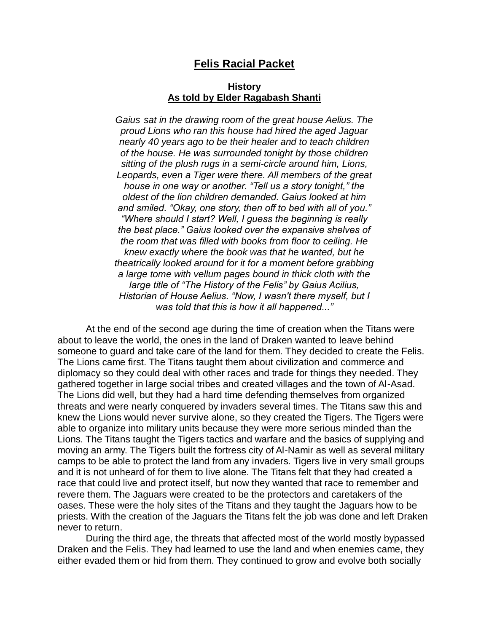# **Felis Racial Packet**

# **History As told by Elder Ragabash Shanti**

*Gaius sat in the drawing room of the great house Aelius. The proud Lions who ran this house had hired the aged Jaguar nearly 40 years ago to be their healer and to teach children of the house. He was surrounded tonight by those children sitting of the plush rugs in a semi-circle around him, Lions, Leopards, even a Tiger were there. All members of the great house in one way or another. "Tell us a story tonight," the oldest of the lion children demanded. Gaius looked at him and smiled. "Okay, one story, then off to bed with all of you." "Where should I start? Well, I guess the beginning is really the best place." Gaius looked over the expansive shelves of the room that was filled with books from floor to ceiling. He knew exactly where the book was that he wanted, but he theatrically looked around for it for a moment before grabbing a large tome with vellum pages bound in thick cloth with the large title of "The History of the Felis" by Gaius Acilius, Historian of House Aelius. "Now, I wasn't there myself, but I was told that this is how it all happened..."*

At the end of the second age during the time of creation when the Titans were about to leave the world, the ones in the land of Draken wanted to leave behind someone to guard and take care of the land for them. They decided to create the Felis. The Lions came first. The Titans taught them about civilization and commerce and diplomacy so they could deal with other races and trade for things they needed. They gathered together in large social tribes and created villages and the town of Al-Asad. The Lions did well, but they had a hard time defending themselves from organized threats and were nearly conquered by invaders several times. The Titans saw this and knew the Lions would never survive alone, so they created the Tigers. The Tigers were able to organize into military units because they were more serious minded than the Lions. The Titans taught the Tigers tactics and warfare and the basics of supplying and moving an army. The Tigers built the fortress city of Al-Namir as well as several military camps to be able to protect the land from any invaders. Tigers live in very small groups and it is not unheard of for them to live alone. The Titans felt that they had created a race that could live and protect itself, but now they wanted that race to remember and revere them. The Jaguars were created to be the protectors and caretakers of the oases. These were the holy sites of the Titans and they taught the Jaguars how to be priests. With the creation of the Jaguars the Titans felt the job was done and left Draken never to return.

During the third age, the threats that affected most of the world mostly bypassed Draken and the Felis. They had learned to use the land and when enemies came, they either evaded them or hid from them. They continued to grow and evolve both socially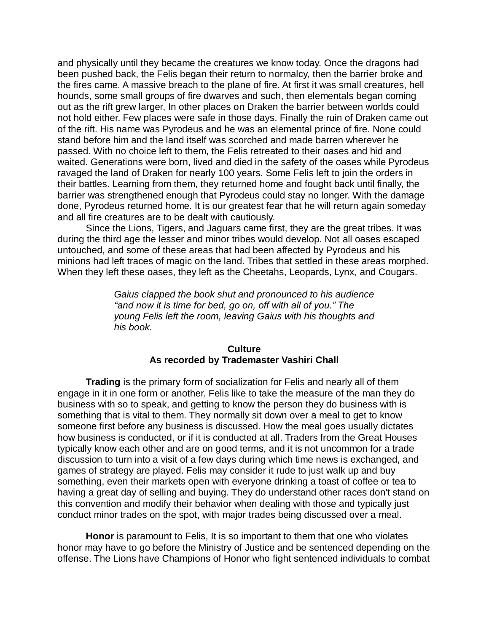and physically until they became the creatures we know today. Once the dragons had been pushed back, the Felis began their return to normalcy, then the barrier broke and the fires came. A massive breach to the plane of fire. At first it was small creatures, hell hounds, some small groups of fire dwarves and such, then elementals began coming out as the rift grew larger, In other places on Draken the barrier between worlds could not hold either. Few places were safe in those days. Finally the ruin of Draken came out of the rift. His name was Pyrodeus and he was an elemental prince of fire. None could stand before him and the land itself was scorched and made barren wherever he passed. With no choice left to them, the Felis retreated to their oases and hid and waited. Generations were born, lived and died in the safety of the oases while Pyrodeus ravaged the land of Draken for nearly 100 years. Some Felis left to join the orders in their battles. Learning from them, they returned home and fought back until finally, the barrier was strengthened enough that Pyrodeus could stay no longer. With the damage done, Pyrodeus returned home. It is our greatest fear that he will return again someday and all fire creatures are to be dealt with cautiously.

Since the Lions, Tigers, and Jaguars came first, they are the great tribes. It was during the third age the lesser and minor tribes would develop. Not all oases escaped untouched, and some of these areas that had been affected by Pyrodeus and his minions had left traces of magic on the land. Tribes that settled in these areas morphed. When they left these oases, they left as the Cheetahs, Leopards, Lynx, and Cougars.

> *Gaius clapped the book shut and pronounced to his audience "and now it is time for bed, go on, off with all of you." The young Felis left the room, leaving Gaius with his thoughts and his book.*

# **Culture As recorded by Trademaster Vashiri Chall**

**Trading** is the primary form of socialization for Felis and nearly all of them engage in it in one form or another. Felis like to take the measure of the man they do business with so to speak, and getting to know the person they do business with is something that is vital to them. They normally sit down over a meal to get to know someone first before any business is discussed. How the meal goes usually dictates how business is conducted, or if it is conducted at all. Traders from the Great Houses typically know each other and are on good terms, and it is not uncommon for a trade discussion to turn into a visit of a few days during which time news is exchanged, and games of strategy are played. Felis may consider it rude to just walk up and buy something, even their markets open with everyone drinking a toast of coffee or tea to having a great day of selling and buying. They do understand other races don't stand on this convention and modify their behavior when dealing with those and typically just conduct minor trades on the spot, with major trades being discussed over a meal.

**Honor** is paramount to Felis, It is so important to them that one who violates honor may have to go before the Ministry of Justice and be sentenced depending on the offense. The Lions have Champions of Honor who fight sentenced individuals to combat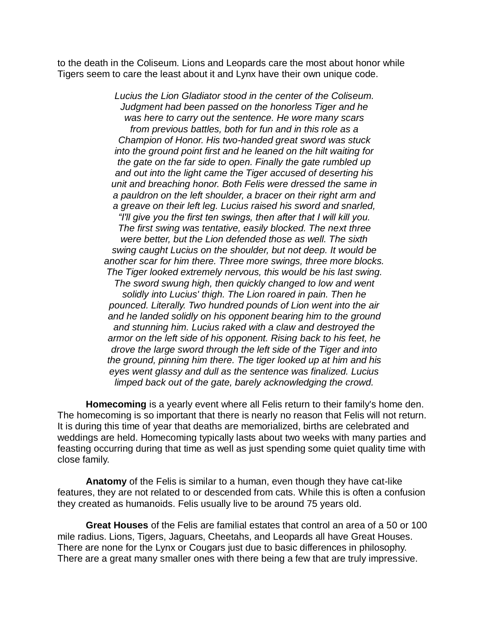to the death in the Coliseum. Lions and Leopards care the most about honor while Tigers seem to care the least about it and Lynx have their own unique code.

> *Lucius the Lion Gladiator stood in the center of the Coliseum. Judgment had been passed on the honorless Tiger and he was here to carry out the sentence. He wore many scars from previous battles, both for fun and in this role as a Champion of Honor. His two-handed great sword was stuck into the ground point first and he leaned on the hilt waiting for the gate on the far side to open. Finally the gate rumbled up and out into the light came the Tiger accused of deserting his unit and breaching honor. Both Felis were dressed the same in a pauldron on the left shoulder, a bracer on their right arm and a greave on their left leg. Lucius raised his sword and snarled, "I'll give you the first ten swings, then after that I will kill you. The first swing was tentative, easily blocked. The next three were better, but the Lion defended those as well. The sixth swing caught Lucius on the shoulder, but not deep. It would be another scar for him there. Three more swings, three more blocks. The Tiger looked extremely nervous, this would be his last swing. The sword swung high, then quickly changed to low and went solidly into Lucius' thigh. The Lion roared in pain. Then he pounced. Literally. Two hundred pounds of Lion went into the air and he landed solidly on his opponent bearing him to the ground and stunning him. Lucius raked with a claw and destroyed the armor on the left side of his opponent. Rising back to his feet, he drove the large sword through the left side of the Tiger and into the ground, pinning him there. The tiger looked up at him and his eyes went glassy and dull as the sentence was finalized. Lucius limped back out of the gate, barely acknowledging the crowd.*

**Homecoming** is a yearly event where all Felis return to their family's home den. The homecoming is so important that there is nearly no reason that Felis will not return. It is during this time of year that deaths are memorialized, births are celebrated and weddings are held. Homecoming typically lasts about two weeks with many parties and feasting occurring during that time as well as just spending some quiet quality time with close family.

**Anatomy** of the Felis is similar to a human, even though they have cat-like features, they are not related to or descended from cats. While this is often a confusion they created as humanoids. Felis usually live to be around 75 years old.

**Great Houses** of the Felis are familial estates that control an area of a 50 or 100 mile radius. Lions, Tigers, Jaguars, Cheetahs, and Leopards all have Great Houses. There are none for the Lynx or Cougars just due to basic differences in philosophy. There are a great many smaller ones with there being a few that are truly impressive.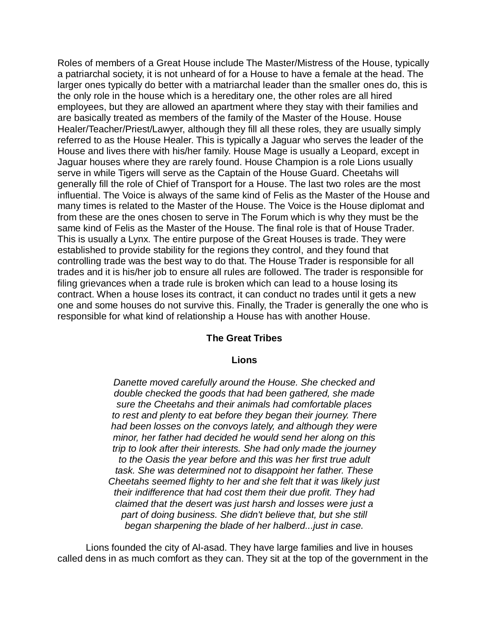Roles of members of a Great House include The Master/Mistress of the House, typically a patriarchal society, it is not unheard of for a House to have a female at the head. The larger ones typically do better with a matriarchal leader than the smaller ones do, this is the only role in the house which is a hereditary one, the other roles are all hired employees, but they are allowed an apartment where they stay with their families and are basically treated as members of the family of the Master of the House. House Healer/Teacher/Priest/Lawyer, although they fill all these roles, they are usually simply referred to as the House Healer. This is typically a Jaguar who serves the leader of the House and lives there with his/her family. House Mage is usually a Leopard, except in Jaguar houses where they are rarely found. House Champion is a role Lions usually serve in while Tigers will serve as the Captain of the House Guard. Cheetahs will generally fill the role of Chief of Transport for a House. The last two roles are the most influential. The Voice is always of the same kind of Felis as the Master of the House and many times is related to the Master of the House. The Voice is the House diplomat and from these are the ones chosen to serve in The Forum which is why they must be the same kind of Felis as the Master of the House. The final role is that of House Trader. This is usually a Lynx. The entire purpose of the Great Houses is trade. They were established to provide stability for the regions they control, and they found that controlling trade was the best way to do that. The House Trader is responsible for all trades and it is his/her job to ensure all rules are followed. The trader is responsible for filing grievances when a trade rule is broken which can lead to a house losing its contract. When a house loses its contract, it can conduct no trades until it gets a new one and some houses do not survive this. Finally, the Trader is generally the one who is responsible for what kind of relationship a House has with another House.

# **The Great Tribes**

### **Lions**

*Danette moved carefully around the House. She checked and double checked the goods that had been gathered, she made sure the Cheetahs and their animals had comfortable places to rest and plenty to eat before they began their journey. There had been losses on the convoys lately, and although they were minor, her father had decided he would send her along on this trip to look after their interests. She had only made the journey to the Oasis the year before and this was her first true adult task. She was determined not to disappoint her father. These Cheetahs seemed flighty to her and she felt that it was likely just their indifference that had cost them their due profit. They had claimed that the desert was just harsh and losses were just a part of doing business. She didn't believe that, but she still began sharpening the blade of her halberd...just in case.*

Lions founded the city of Al-asad. They have large families and live in houses called dens in as much comfort as they can. They sit at the top of the government in the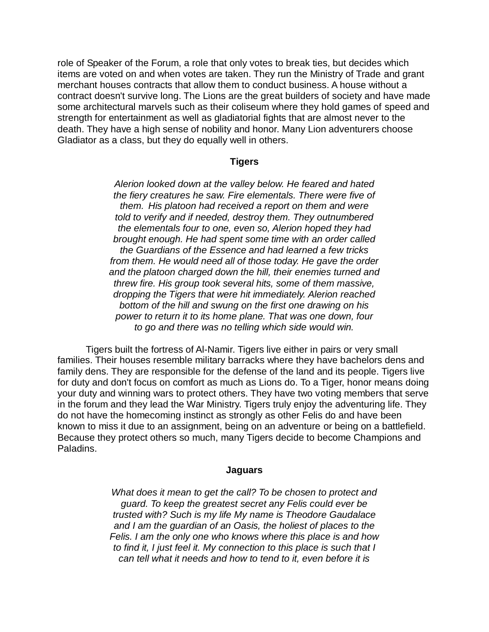role of Speaker of the Forum, a role that only votes to break ties, but decides which items are voted on and when votes are taken. They run the Ministry of Trade and grant merchant houses contracts that allow them to conduct business. A house without a contract doesn't survive long. The Lions are the great builders of society and have made some architectural marvels such as their coliseum where they hold games of speed and strength for entertainment as well as gladiatorial fights that are almost never to the death. They have a high sense of nobility and honor. Many Lion adventurers choose Gladiator as a class, but they do equally well in others.

#### **Tigers**

*Alerion looked down at the valley below. He feared and hated the fiery creatures he saw. Fire elementals. There were five of them. His platoon had received a report on them and were told to verify and if needed, destroy them. They outnumbered the elementals four to one, even so, Alerion hoped they had brought enough. He had spent some time with an order called the Guardians of the Essence and had learned a few tricks from them. He would need all of those today. He gave the order and the platoon charged down the hill, their enemies turned and threw fire. His group took several hits, some of them massive, dropping the Tigers that were hit immediately. Alerion reached bottom of the hill and swung on the first one drawing on his power to return it to its home plane. That was one down, four to go and there was no telling which side would win.*

Tigers built the fortress of Al-Namir. Tigers live either in pairs or very small families. Their houses resemble military barracks where they have bachelors dens and family dens. They are responsible for the defense of the land and its people. Tigers live for duty and don't focus on comfort as much as Lions do. To a Tiger, honor means doing your duty and winning wars to protect others. They have two voting members that serve in the forum and they lead the War Ministry. Tigers truly enjoy the adventuring life. They do not have the homecoming instinct as strongly as other Felis do and have been known to miss it due to an assignment, being on an adventure or being on a battlefield. Because they protect others so much, many Tigers decide to become Champions and Paladins.

#### **Jaguars**

*What does it mean to get the call? To be chosen to protect and guard. To keep the greatest secret any Felis could ever be trusted with? Such is my life My name is Theodore Gaudalace and I am the guardian of an Oasis, the holiest of places to the Felis. I am the only one who knows where this place is and how to find it, I just feel it. My connection to this place is such that I can tell what it needs and how to tend to it, even before it is*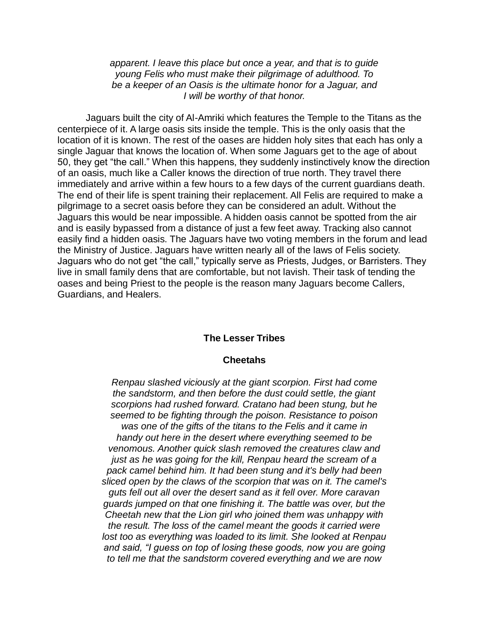*apparent. I leave this place but once a year, and that is to guide young Felis who must make their pilgrimage of adulthood. To be a keeper of an Oasis is the ultimate honor for a Jaguar, and I will be worthy of that honor.*

Jaguars built the city of Al-Amriki which features the Temple to the Titans as the centerpiece of it. A large oasis sits inside the temple. This is the only oasis that the location of it is known. The rest of the oases are hidden holy sites that each has only a single Jaguar that knows the location of. When some Jaguars get to the age of about 50, they get "the call." When this happens, they suddenly instinctively know the direction of an oasis, much like a Caller knows the direction of true north. They travel there immediately and arrive within a few hours to a few days of the current guardians death. The end of their life is spent training their replacement. All Felis are required to make a pilgrimage to a secret oasis before they can be considered an adult. Without the Jaguars this would be near impossible. A hidden oasis cannot be spotted from the air and is easily bypassed from a distance of just a few feet away. Tracking also cannot easily find a hidden oasis. The Jaguars have two voting members in the forum and lead the Ministry of Justice. Jaguars have written nearly all of the laws of Felis society. Jaguars who do not get "the call," typically serve as Priests, Judges, or Barristers. They live in small family dens that are comfortable, but not lavish. Their task of tending the oases and being Priest to the people is the reason many Jaguars become Callers, Guardians, and Healers.

# **The Lesser Tribes**

#### **Cheetahs**

*Renpau slashed viciously at the giant scorpion. First had come the sandstorm, and then before the dust could settle, the giant scorpions had rushed forward. Cratano had been stung, but he seemed to be fighting through the poison. Resistance to poison was one of the gifts of the titans to the Felis and it came in handy out here in the desert where everything seemed to be venomous. Another quick slash removed the creatures claw and just as he was going for the kill, Renpau heard the scream of a pack camel behind him. It had been stung and it's belly had been sliced open by the claws of the scorpion that was on it. The camel's guts fell out all over the desert sand as it fell over. More caravan guards jumped on that one finishing it. The battle was over, but the Cheetah new that the Lion girl who joined them was unhappy with the result. The loss of the camel meant the goods it carried were lost too as everything was loaded to its limit. She looked at Renpau and said, "I guess on top of losing these goods, now you are going to tell me that the sandstorm covered everything and we are now*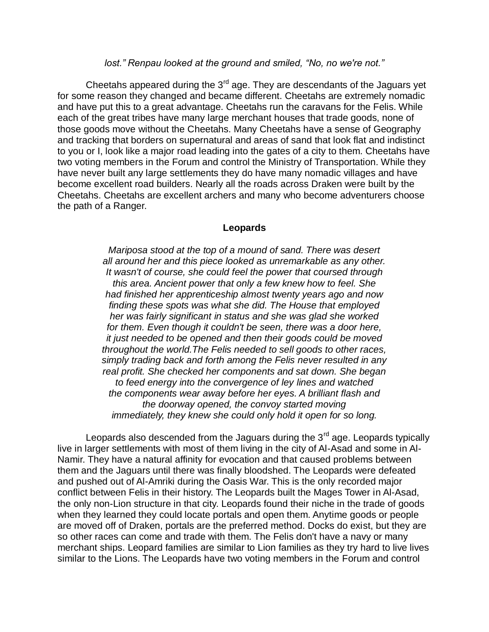### *lost." Renpau looked at the ground and smiled, "No, no we're not."*

Cheetahs appeared during the  $3<sup>rd</sup>$  age. They are descendants of the Jaguars yet for some reason they changed and became different. Cheetahs are extremely nomadic and have put this to a great advantage. Cheetahs run the caravans for the Felis. While each of the great tribes have many large merchant houses that trade goods, none of those goods move without the Cheetahs. Many Cheetahs have a sense of Geography and tracking that borders on supernatural and areas of sand that look flat and indistinct to you or I, look like a major road leading into the gates of a city to them. Cheetahs have two voting members in the Forum and control the Ministry of Transportation. While they have never built any large settlements they do have many nomadic villages and have become excellent road builders. Nearly all the roads across Draken were built by the Cheetahs. Cheetahs are excellent archers and many who become adventurers choose the path of a Ranger.

#### **Leopards**

*Mariposa stood at the top of a mound of sand. There was desert all around her and this piece looked as unremarkable as any other. It wasn't of course, she could feel the power that coursed through this area. Ancient power that only a few knew how to feel. She had finished her apprenticeship almost twenty years ago and now finding these spots was what she did. The House that employed her was fairly significant in status and she was glad she worked for them. Even though it couldn't be seen, there was a door here, it just needed to be opened and then their goods could be moved throughout the world.The Felis needed to sell goods to other races, simply trading back and forth among the Felis never resulted in any real profit. She checked her components and sat down. She began to feed energy into the convergence of ley lines and watched the components wear away before her eyes. A brilliant flash and the doorway opened, the convoy started moving immediately, they knew she could only hold it open for so long.*

Leopards also descended from the Jaguars during the  $3<sup>rd</sup>$  age. Leopards typically live in larger settlements with most of them living in the city of Al-Asad and some in Al-Namir. They have a natural affinity for evocation and that caused problems between them and the Jaguars until there was finally bloodshed. The Leopards were defeated and pushed out of Al-Amriki during the Oasis War. This is the only recorded major conflict between Felis in their history. The Leopards built the Mages Tower in Al-Asad, the only non-Lion structure in that city. Leopards found their niche in the trade of goods when they learned they could locate portals and open them. Anytime goods or people are moved off of Draken, portals are the preferred method. Docks do exist, but they are so other races can come and trade with them. The Felis don't have a navy or many merchant ships. Leopard families are similar to Lion families as they try hard to live lives similar to the Lions. The Leopards have two voting members in the Forum and control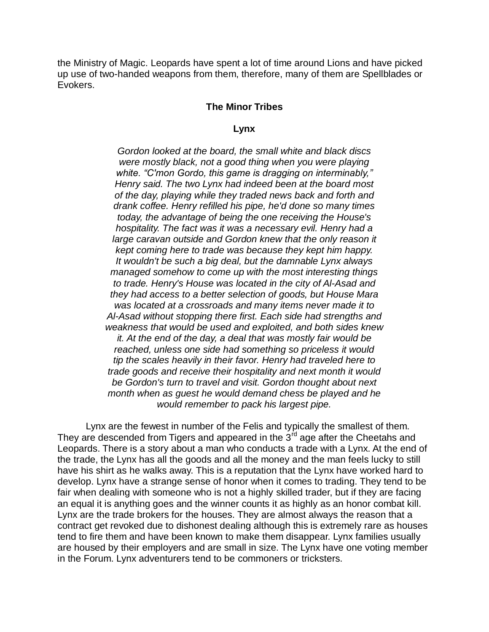the Ministry of Magic. Leopards have spent a lot of time around Lions and have picked up use of two-handed weapons from them, therefore, many of them are Spellblades or Evokers.

### **The Minor Tribes**

#### **Lynx**

*Gordon looked at the board, the small white and black discs were mostly black, not a good thing when you were playing white. "C'mon Gordo, this game is dragging on interminably," Henry said. The two Lynx had indeed been at the board most of the day, playing while they traded news back and forth and drank coffee. Henry refilled his pipe, he'd done so many times today, the advantage of being the one receiving the House's hospitality. The fact was it was a necessary evil. Henry had a large caravan outside and Gordon knew that the only reason it kept coming here to trade was because they kept him happy. It wouldn't be such a big deal, but the damnable Lynx always managed somehow to come up with the most interesting things to trade. Henry's House was located in the city of Al-Asad and they had access to a better selection of goods, but House Mara was located at a crossroads and many items never made it to Al-Asad without stopping there first. Each side had strengths and weakness that would be used and exploited, and both sides knew it. At the end of the day, a deal that was mostly fair would be reached, unless one side had something so priceless it would tip the scales heavily in their favor. Henry had traveled here to trade goods and receive their hospitality and next month it would be Gordon's turn to travel and visit. Gordon thought about next month when as guest he would demand chess be played and he would remember to pack his largest pipe.*

Lynx are the fewest in number of the Felis and typically the smallest of them. They are descended from Tigers and appeared in the  $3<sup>rd</sup>$  age after the Cheetahs and Leopards. There is a story about a man who conducts a trade with a Lynx. At the end of the trade, the Lynx has all the goods and all the money and the man feels lucky to still have his shirt as he walks away. This is a reputation that the Lynx have worked hard to develop. Lynx have a strange sense of honor when it comes to trading. They tend to be fair when dealing with someone who is not a highly skilled trader, but if they are facing an equal it is anything goes and the winner counts it as highly as an honor combat kill. Lynx are the trade brokers for the houses. They are almost always the reason that a contract get revoked due to dishonest dealing although this is extremely rare as houses tend to fire them and have been known to make them disappear. Lynx families usually are housed by their employers and are small in size. The Lynx have one voting member in the Forum. Lynx adventurers tend to be commoners or tricksters.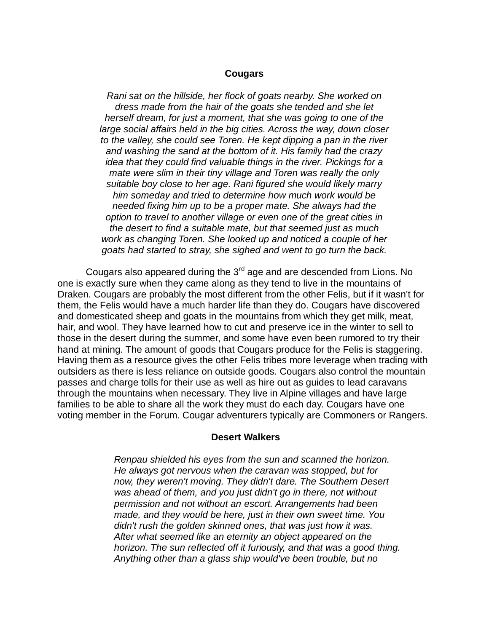### **Cougars**

*Rani sat on the hillside, her flock of goats nearby. She worked on dress made from the hair of the goats she tended and she let herself dream, for just a moment, that she was going to one of the large social affairs held in the big cities. Across the way, down closer to the valley, she could see Toren. He kept dipping a pan in the river and washing the sand at the bottom of it. His family had the crazy idea that they could find valuable things in the river. Pickings for a mate were slim in their tiny village and Toren was really the only suitable boy close to her age. Rani figured she would likely marry him someday and tried to determine how much work would be needed fixing him up to be a proper mate. She always had the option to travel to another village or even one of the great cities in the desert to find a suitable mate, but that seemed just as much work as changing Toren. She looked up and noticed a couple of her goats had started to stray, she sighed and went to go turn the back.*

Cougars also appeared during the  $3<sup>rd</sup>$  age and are descended from Lions. No one is exactly sure when they came along as they tend to live in the mountains of Draken. Cougars are probably the most different from the other Felis, but if it wasn't for them, the Felis would have a much harder life than they do. Cougars have discovered and domesticated sheep and goats in the mountains from which they get milk, meat, hair, and wool. They have learned how to cut and preserve ice in the winter to sell to those in the desert during the summer, and some have even been rumored to try their hand at mining. The amount of goods that Cougars produce for the Felis is staggering. Having them as a resource gives the other Felis tribes more leverage when trading with outsiders as there is less reliance on outside goods. Cougars also control the mountain passes and charge tolls for their use as well as hire out as guides to lead caravans through the mountains when necessary. They live in Alpine villages and have large families to be able to share all the work they must do each day. Cougars have one voting member in the Forum. Cougar adventurers typically are Commoners or Rangers.

#### **Desert Walkers**

*Renpau shielded his eyes from the sun and scanned the horizon. He always got nervous when the caravan was stopped, but for now, they weren't moving. They didn't dare. The Southern Desert was ahead of them, and you just didn't go in there, not without permission and not without an escort. Arrangements had been made, and they would be here, just in their own sweet time. You didn't rush the golden skinned ones, that was just how it was. After what seemed like an eternity an object appeared on the horizon. The sun reflected off it furiously, and that was a good thing. Anything other than a glass ship would've been trouble, but no*